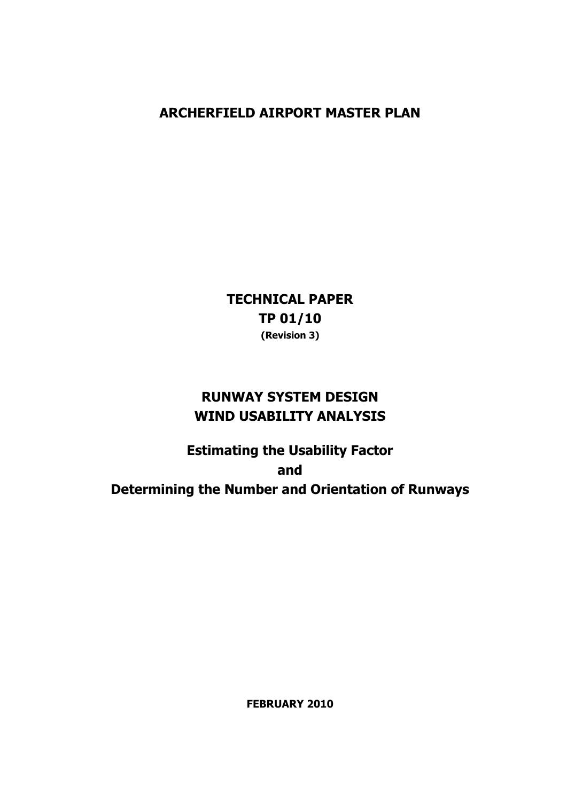# **ARCHERFIELD AIRPORT MASTER PLAN**

**TECHNICAL PAPER TP 01/10 (Revision 3)** 

# **RUNWAY SYSTEM DESIGN WIND USABILITY ANALYSIS**

**Estimating the Usability Factor and Determining the Number and Orientation of Runways** 

**FEBRUARY 2010**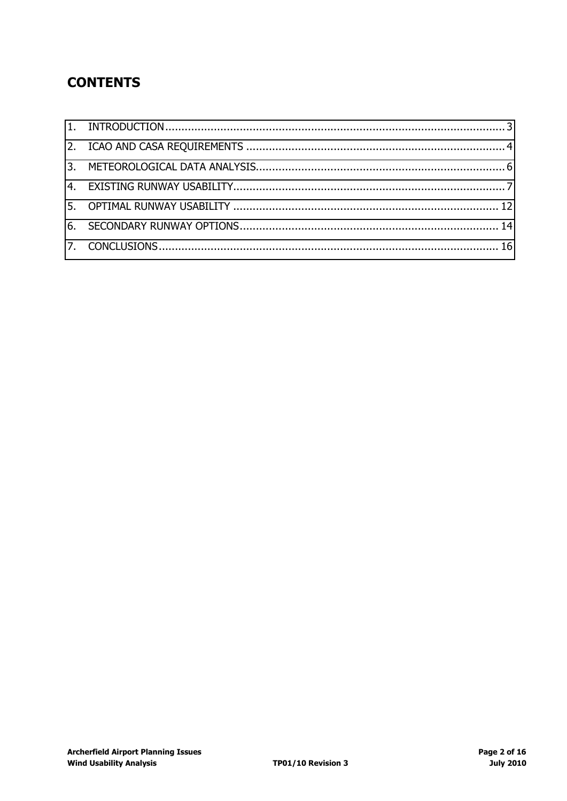# **CONTENTS**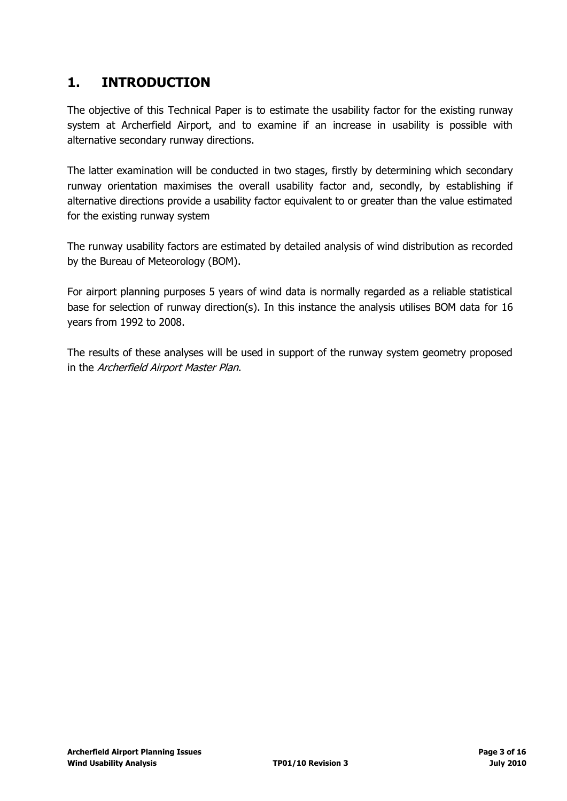## <span id="page-2-0"></span>**1. INTRODUCTION**

The objective of this Technical Paper is to estimate the usability factor for the existing runway system at Archerfield Airport, and to examine if an increase in usability is possible with alternative secondary runway directions.

The latter examination will be conducted in two stages, firstly by determining which secondary runway orientation maximises the overall usability factor and, secondly, by establishing if alternative directions provide a usability factor equivalent to or greater than the value estimated for the existing runway system

The runway usability factors are estimated by detailed analysis of wind distribution as recorded by the Bureau of Meteorology (BOM).

For airport planning purposes 5 years of wind data is normally regarded as a reliable statistical base for selection of runway direction(s). In this instance the analysis utilises BOM data for 16 years from 1992 to 2008.

The results of these analyses will be used in support of the runway system geometry proposed in the Archerfield Airport Master Plan.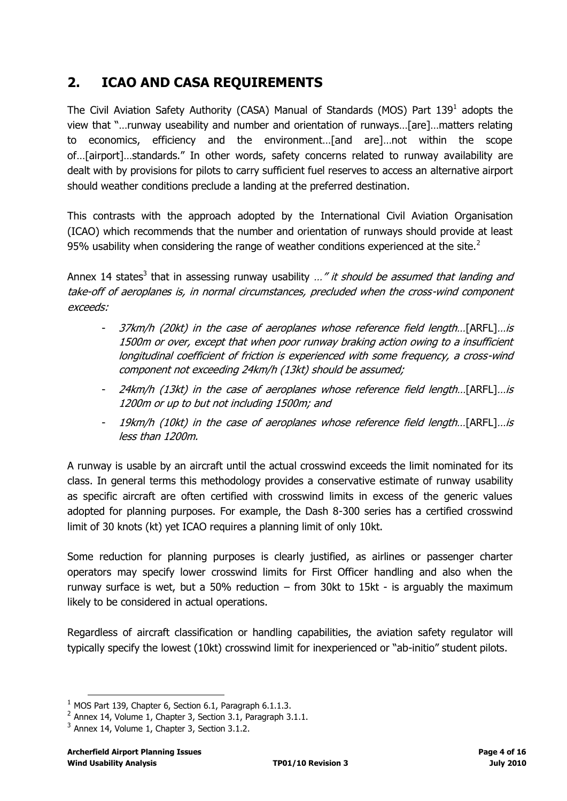# <span id="page-3-0"></span>**2. ICAO AND CASA REQUIREMENTS**

The Civil Aviation Safety Authority (CASA) Manual of Standards (MOS) Part 139<sup>1</sup> adopts the view that "…runway useability and number and orientation of runways…[are]…matters relating to economics, efficiency and the environment…[and are]…not within the scope of…[airport]…standards." In other words, safety concerns related to runway availability are dealt with by provisions for pilots to carry sufficient fuel reserves to access an alternative airport should weather conditions preclude a landing at the preferred destination.

This contrasts with the approach adopted by the International Civil Aviation Organisation (ICAO) which recommends that the number and orientation of runways should provide at least 95% usability when considering the range of weather conditions experienced at the site. $2$ 

Annex 14 states<sup>3</sup> that in assessing runway usability ..." it should be assumed that landing and take-off of aeroplanes is, in normal circumstances, precluded when the cross-wind component exceeds:

- 37km/h (20kt) in the case of aeroplanes whose reference field length...[ARFL]...is 1500m or over, except that when poor runway braking action owing to a insufficient longitudinal coefficient of friction is experienced with some frequency, a cross-wind component not exceeding 24km/h (13kt) should be assumed;
- 24km/h (13kt) in the case of aeroplanes whose reference field length...[ARFL]...is 1200m or up to but not including 1500m; and
- 19km/h (10kt) in the case of aeroplanes whose reference field length…[ARFL]…is less than 1200m.

A runway is usable by an aircraft until the actual crosswind exceeds the limit nominated for its class. In general terms this methodology provides a conservative estimate of runway usability as specific aircraft are often certified with crosswind limits in excess of the generic values adopted for planning purposes. For example, the Dash 8-300 series has a certified crosswind limit of 30 knots (kt) yet ICAO requires a planning limit of only 10kt.

Some reduction for planning purposes is clearly justified, as airlines or passenger charter operators may specify lower crosswind limits for First Officer handling and also when the runway surface is wet, but a 50% reduction  $-$  from 30kt to 15kt - is arguably the maximum likely to be considered in actual operations.

Regardless of aircraft classification or handling capabilities, the aviation safety regulator will typically specify the lowest (10kt) crosswind limit for inexperienced or "ab-initio" student pilots.

 $1$  MOS Part 139, Chapter 6, Section 6.1, Paragraph 6.1.1.3.

 $^2$  Annex 14, Volume 1, Chapter 3, Section 3.1, Paragraph 3.1.1.

 $3$  Annex 14, Volume 1, Chapter 3, Section 3.1.2.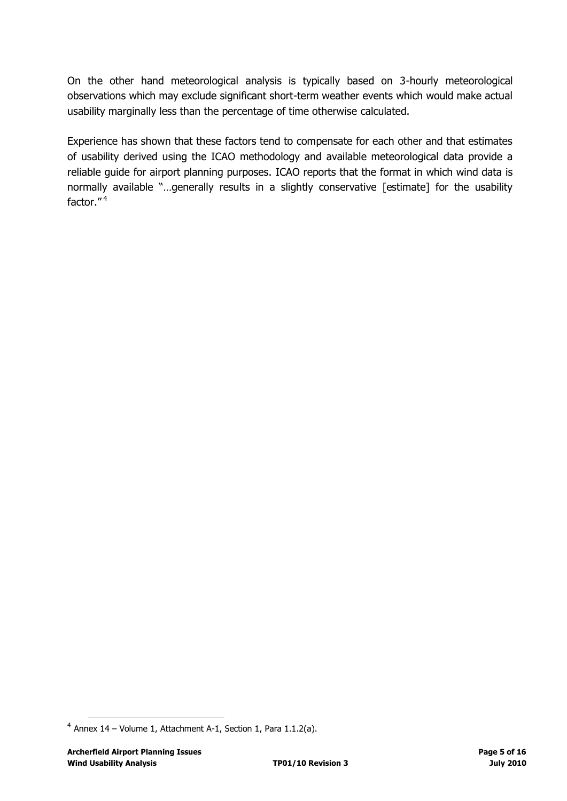On the other hand meteorological analysis is typically based on 3-hourly meteorological observations which may exclude significant short-term weather events which would make actual usability marginally less than the percentage of time otherwise calculated.

Experience has shown that these factors tend to compensate for each other and that estimates of usability derived using the ICAO methodology and available meteorological data provide a reliable guide for airport planning purposes. ICAO reports that the format in which wind data is normally available "...generally results in a slightly conservative [estimate] for the usability factor."<sup>4</sup>

 $4$  Annex 14 – Volume 1, Attachment A-1, Section 1, Para 1.1.2(a).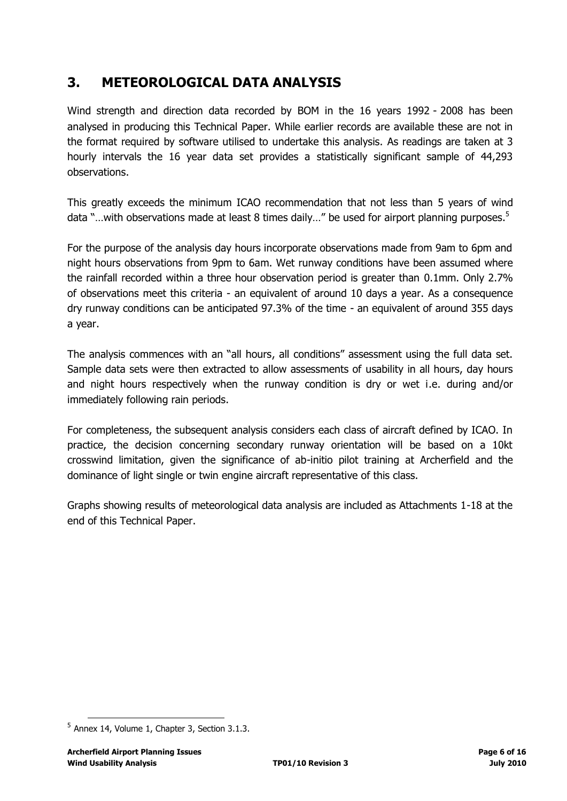## <span id="page-5-0"></span>**3. METEOROLOGICAL DATA ANALYSIS**

Wind strength and direction data recorded by BOM in the 16 years 1992 - 2008 has been analysed in producing this Technical Paper. While earlier records are available these are not in the format required by software utilised to undertake this analysis. As readings are taken at 3 hourly intervals the 16 year data set provides a statistically significant sample of 44,293 observations.

This greatly exceeds the minimum ICAO recommendation that not less than 5 years of wind data "...with observations made at least 8 times daily..." be used for airport planning purposes.<sup>5</sup>

For the purpose of the analysis day hours incorporate observations made from 9am to 6pm and night hours observations from 9pm to 6am. Wet runway conditions have been assumed where the rainfall recorded within a three hour observation period is greater than 0.1mm. Only 2.7% of observations meet this criteria - an equivalent of around 10 days a year. As a consequence dry runway conditions can be anticipated 97.3% of the time - an equivalent of around 355 days a year.

The analysis commences with an "all hours, all conditions" assessment using the full data set. Sample data sets were then extracted to allow assessments of usability in all hours, day hours and night hours respectively when the runway condition is dry or wet i.e. during and/or immediately following rain periods.

For completeness, the subsequent analysis considers each class of aircraft defined by ICAO. In practice, the decision concerning secondary runway orientation will be based on a 10kt crosswind limitation, given the significance of ab-initio pilot training at Archerfield and the dominance of light single or twin engine aircraft representative of this class.

Graphs showing results of meteorological data analysis are included as Attachments 1-18 at the end of this Technical Paper.

<sup>&</sup>lt;sup>5</sup> Annex 14, Volume 1, Chapter 3, Section 3.1.3.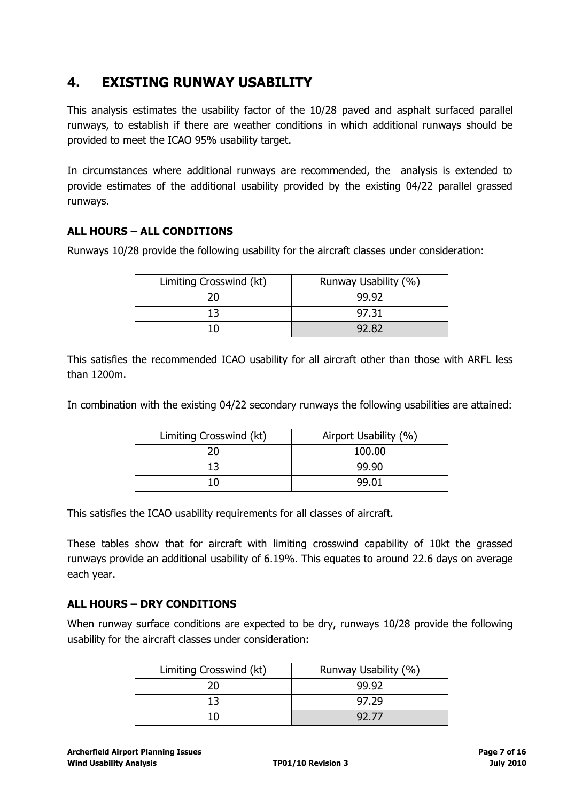## <span id="page-6-0"></span>**4. EXISTING RUNWAY USABILITY**

This analysis estimates the usability factor of the 10/28 paved and asphalt surfaced parallel runways, to establish if there are weather conditions in which additional runways should be provided to meet the ICAO 95% usability target.

In circumstances where additional runways are recommended, the analysis is extended to provide estimates of the additional usability provided by the existing 04/22 parallel grassed runways.

### **ALL HOURS – ALL CONDITIONS**

Runways 10/28 provide the following usability for the aircraft classes under consideration:

| Limiting Crosswind (kt) | Runway Usability (%) |
|-------------------------|----------------------|
| 20                      | 99.92                |
| 13                      | 97.31                |
| 1 N                     | 92.82                |

This satisfies the recommended ICAO usability for all aircraft other than those with ARFL less than 1200m.

In combination with the existing 04/22 secondary runways the following usabilities are attained:

| Limiting Crosswind (kt) | Airport Usability (%) |
|-------------------------|-----------------------|
| 20                      | 100.00                |
| 13                      | 99.90                 |
| 10                      | 99.01                 |

This satisfies the ICAO usability requirements for all classes of aircraft.

These tables show that for aircraft with limiting crosswind capability of 10kt the grassed runways provide an additional usability of 6.19%. This equates to around 22.6 days on average each year.

#### **ALL HOURS – DRY CONDITIONS**

When runway surface conditions are expected to be dry, runways 10/28 provide the following usability for the aircraft classes under consideration:

| Limiting Crosswind (kt) | Runway Usability (%) |
|-------------------------|----------------------|
|                         | 99.92                |
|                         | 97.29                |
|                         | 92.77                |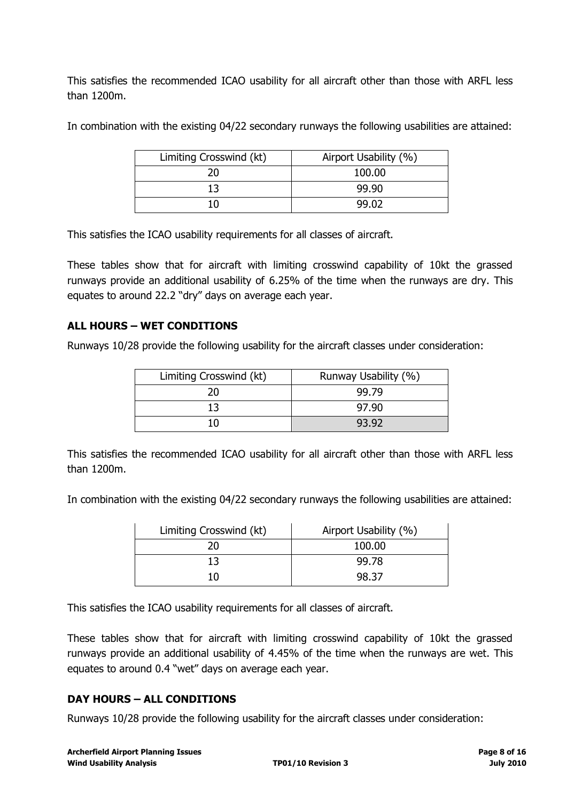This satisfies the recommended ICAO usability for all aircraft other than those with ARFL less than 1200m.

In combination with the existing 04/22 secondary runways the following usabilities are attained:

| Limiting Crosswind (kt) | Airport Usability (%) |
|-------------------------|-----------------------|
| 20                      | 100.00                |
| 13                      | 99.90                 |
| 10                      | 99.02                 |

This satisfies the ICAO usability requirements for all classes of aircraft.

These tables show that for aircraft with limiting crosswind capability of 10kt the grassed runways provide an additional usability of 6.25% of the time when the runways are dry. This equates to around 22.2 "dry" days on average each year.

#### **ALL HOURS – WET CONDITIONS**

Runways 10/28 provide the following usability for the aircraft classes under consideration:

| Limiting Crosswind (kt) | Runway Usability (%) |
|-------------------------|----------------------|
| 20                      | 99.79                |
| 13                      | 97.90                |
|                         | 93.92                |

This satisfies the recommended ICAO usability for all aircraft other than those with ARFL less than 1200m.

In combination with the existing 04/22 secondary runways the following usabilities are attained:

| Limiting Crosswind (kt) | Airport Usability (%) |
|-------------------------|-----------------------|
| 20                      | 100.00                |
| 13                      | 99.78                 |
|                         | 98 37                 |

This satisfies the ICAO usability requirements for all classes of aircraft.

These tables show that for aircraft with limiting crosswind capability of 10kt the grassed runways provide an additional usability of 4.45% of the time when the runways are wet. This equates to around 0.4 "wet" days on average each year.

#### **DAY HOURS – ALL CONDITIONS**

Runways 10/28 provide the following usability for the aircraft classes under consideration: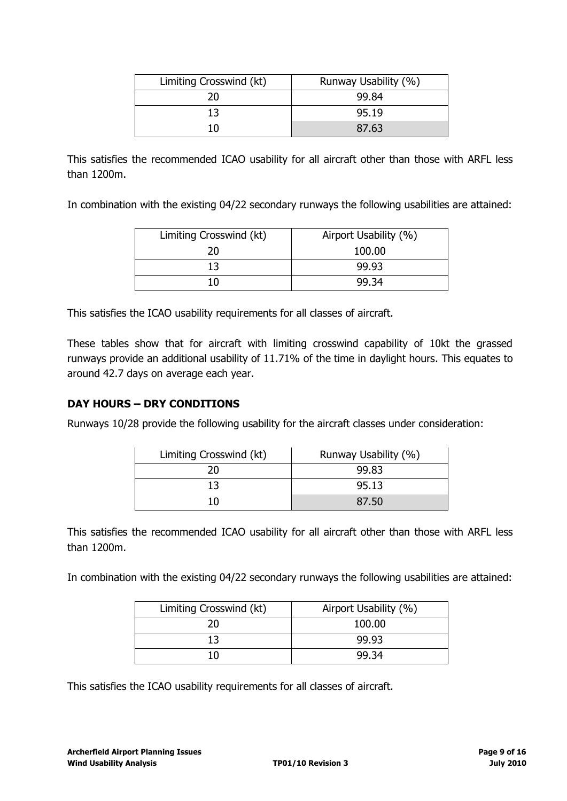| Limiting Crosswind (kt) | Runway Usability (%) |
|-------------------------|----------------------|
| 20                      | 99.84                |
| 13                      | 95.19                |
| חו                      | 87.63                |
|                         |                      |

This satisfies the recommended ICAO usability for all aircraft other than those with ARFL less than 1200m.

In combination with the existing 04/22 secondary runways the following usabilities are attained:

| Limiting Crosswind (kt) | Airport Usability (%) |
|-------------------------|-----------------------|
| 20.                     | 100.00                |
| 13                      | 99.93                 |
|                         | 99.34                 |

This satisfies the ICAO usability requirements for all classes of aircraft.

These tables show that for aircraft with limiting crosswind capability of 10kt the grassed runways provide an additional usability of 11.71% of the time in daylight hours. This equates to around 42.7 days on average each year.

#### **DAY HOURS – DRY CONDITIONS**

Runways 10/28 provide the following usability for the aircraft classes under consideration:

| Limiting Crosswind (kt) | Runway Usability (%) |
|-------------------------|----------------------|
| 20                      | 99.83                |
| 13                      | 95.13                |
| 10                      | 87.50                |

This satisfies the recommended ICAO usability for all aircraft other than those with ARFL less than 1200m.

In combination with the existing 04/22 secondary runways the following usabilities are attained:

| Limiting Crosswind (kt) | Airport Usability (%) |
|-------------------------|-----------------------|
| 20.                     | 100.00                |
| 13                      | 99.93                 |
| 10                      | 99.34                 |

This satisfies the ICAO usability requirements for all classes of aircraft.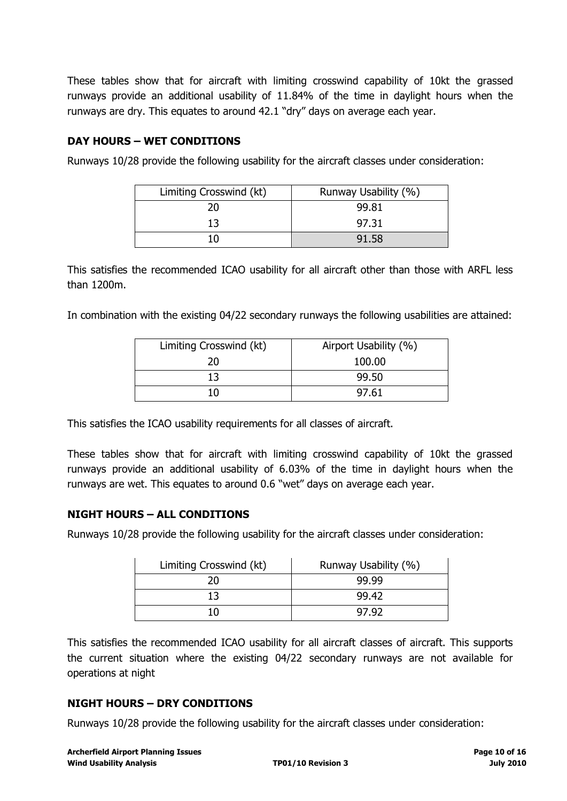These tables show that for aircraft with limiting crosswind capability of 10kt the grassed runways provide an additional usability of 11.84% of the time in daylight hours when the runways are dry. This equates to around 42.1 "dry" days on average each year.

#### **DAY HOURS – WET CONDITIONS**

Runways 10/28 provide the following usability for the aircraft classes under consideration:

| Runway Usability (%) |
|----------------------|
| 99.81                |
| 97.31                |
| 91.58                |
|                      |

This satisfies the recommended ICAO usability for all aircraft other than those with ARFL less than 1200m.

In combination with the existing 04/22 secondary runways the following usabilities are attained:

| Limiting Crosswind (kt) | Airport Usability (%) |
|-------------------------|-----------------------|
| 20                      | 100.00                |
| 13                      | 99.50                 |
| 10                      | 97.61                 |

This satisfies the ICAO usability requirements for all classes of aircraft.

These tables show that for aircraft with limiting crosswind capability of 10kt the grassed runways provide an additional usability of 6.03% of the time in daylight hours when the runways are wet. This equates to around 0.6 "wet" days on average each year.

#### **NIGHT HOURS – ALL CONDITIONS**

Runways 10/28 provide the following usability for the aircraft classes under consideration:

| Limiting Crosswind (kt) | Runway Usability (%) |
|-------------------------|----------------------|
| 20                      | 99.99                |
| 13                      | 99.42                |
| 10                      | 97.92                |

This satisfies the recommended ICAO usability for all aircraft classes of aircraft. This supports the current situation where the existing 04/22 secondary runways are not available for operations at night

#### **NIGHT HOURS – DRY CONDITIONS**

Runways 10/28 provide the following usability for the aircraft classes under consideration: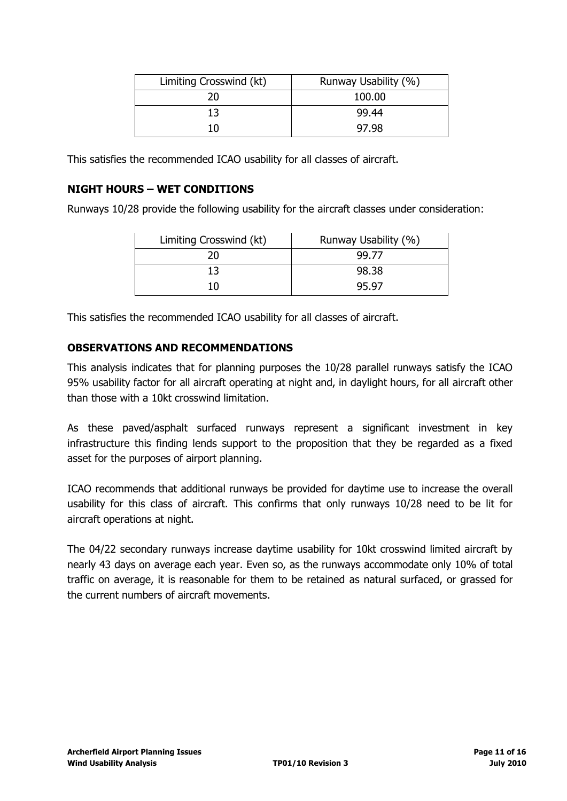| Limiting Crosswind (kt) | Runway Usability (%) |
|-------------------------|----------------------|
| 20                      | 100.00               |
| 13                      | 99.44                |
| 10                      | 97.98                |
|                         |                      |

This satisfies the recommended ICAO usability for all classes of aircraft.

#### **NIGHT HOURS – WET CONDITIONS**

Runways 10/28 provide the following usability for the aircraft classes under consideration:

| Limiting Crosswind (kt) | Runway Usability (%) |
|-------------------------|----------------------|
| ንበ                      | 99.77                |
|                         | 98.38                |
| ۱Λ                      | 95.97                |

This satisfies the recommended ICAO usability for all classes of aircraft.

#### **OBSERVATIONS AND RECOMMENDATIONS**

This analysis indicates that for planning purposes the 10/28 parallel runways satisfy the ICAO 95% usability factor for all aircraft operating at night and, in daylight hours, for all aircraft other than those with a 10kt crosswind limitation.

As these paved/asphalt surfaced runways represent a significant investment in key infrastructure this finding lends support to the proposition that they be regarded as a fixed asset for the purposes of airport planning.

ICAO recommends that additional runways be provided for daytime use to increase the overall usability for this class of aircraft. This confirms that only runways 10/28 need to be lit for aircraft operations at night.

The 04/22 secondary runways increase daytime usability for 10kt crosswind limited aircraft by nearly 43 days on average each year. Even so, as the runways accommodate only 10% of total traffic on average, it is reasonable for them to be retained as natural surfaced, or grassed for the current numbers of aircraft movements.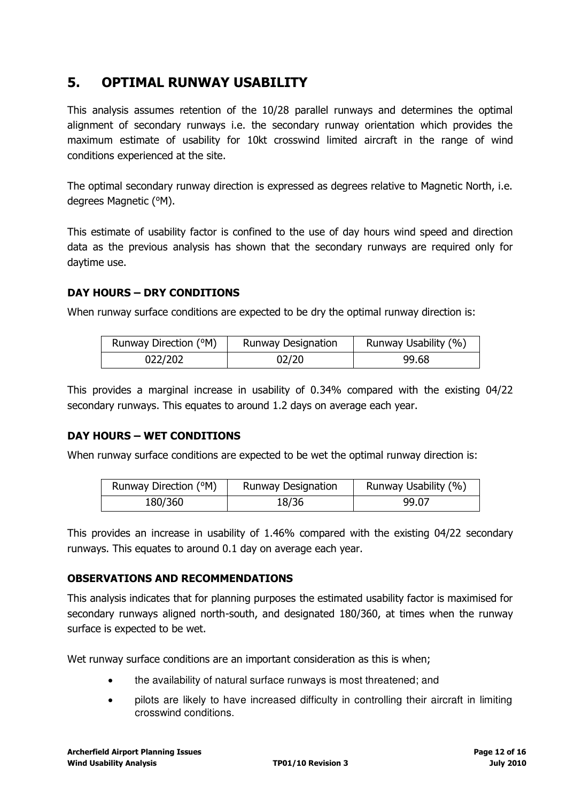### <span id="page-11-0"></span>**5. OPTIMAL RUNWAY USABILITY**

This analysis assumes retention of the 10/28 parallel runways and determines the optimal alignment of secondary runways i.e. the secondary runway orientation which provides the maximum estimate of usability for 10kt crosswind limited aircraft in the range of wind conditions experienced at the site.

The optimal secondary runway direction is expressed as degrees relative to Magnetic North, i.e. degrees Magnetic (°M).

This estimate of usability factor is confined to the use of day hours wind speed and direction data as the previous analysis has shown that the secondary runways are required only for daytime use.

#### **DAY HOURS – DRY CONDITIONS**

When runway surface conditions are expected to be dry the optimal runway direction is:

| Runway Direction (°M) | <b>Runway Designation</b> | Runway Usability (%) |
|-----------------------|---------------------------|----------------------|
| 022/202               | 02/20                     | 99.68                |

This provides a marginal increase in usability of 0.34% compared with the existing 04/22 secondary runways. This equates to around 1.2 days on average each year.

#### **DAY HOURS – WET CONDITIONS**

When runway surface conditions are expected to be wet the optimal runway direction is:

| Runway Direction (°M) | <b>Runway Designation</b> | Runway Usability (%) |
|-----------------------|---------------------------|----------------------|
| 180/360               | 18/36                     | 99.07                |

This provides an increase in usability of 1.46% compared with the existing 04/22 secondary runways. This equates to around 0.1 day on average each year.

#### **OBSERVATIONS AND RECOMMENDATIONS**

This analysis indicates that for planning purposes the estimated usability factor is maximised for secondary runways aligned north-south, and designated 180/360, at times when the runway surface is expected to be wet.

Wet runway surface conditions are an important consideration as this is when;

- the availability of natural surface runways is most threatened; and
- pilots are likely to have increased difficulty in controlling their aircraft in limiting crosswind conditions.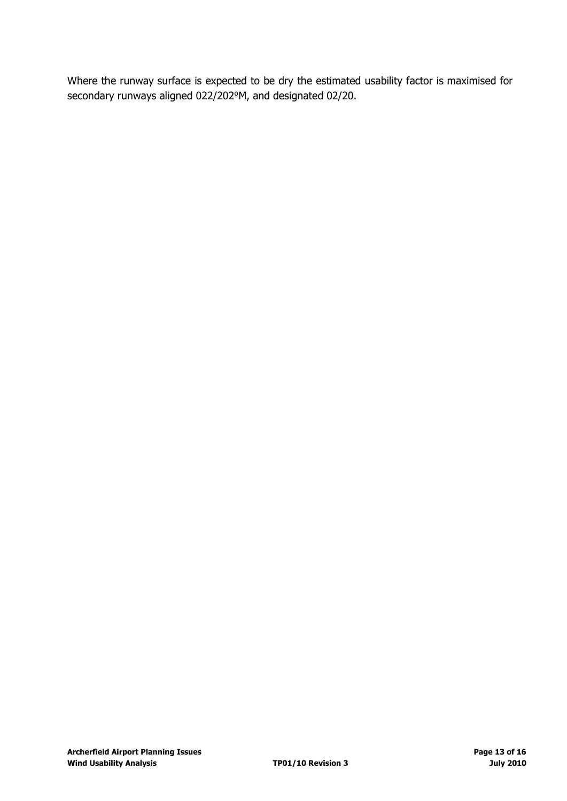Where the runway surface is expected to be dry the estimated usability factor is maximised for secondary runways aligned 022/202<sup>o</sup>M, and designated 02/20.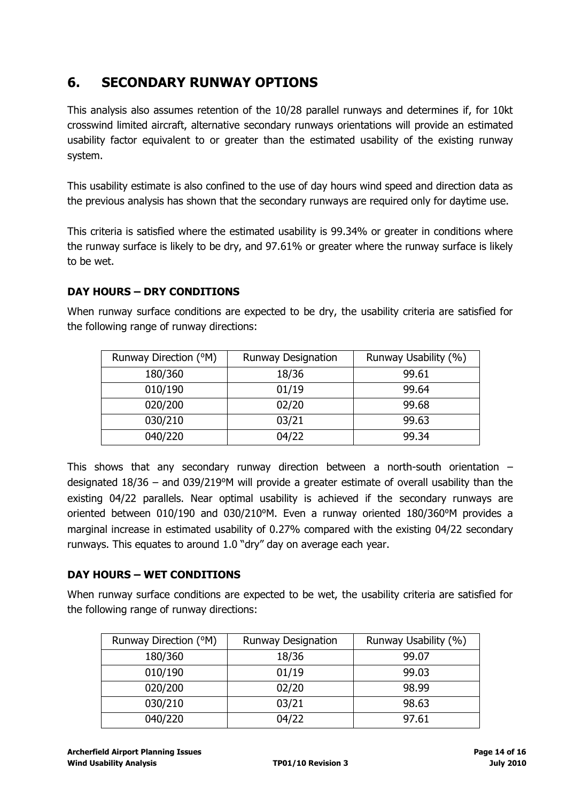## <span id="page-13-0"></span>**6. SECONDARY RUNWAY OPTIONS**

This analysis also assumes retention of the 10/28 parallel runways and determines if, for 10kt crosswind limited aircraft, alternative secondary runways orientations will provide an estimated usability factor equivalent to or greater than the estimated usability of the existing runway system.

This usability estimate is also confined to the use of day hours wind speed and direction data as the previous analysis has shown that the secondary runways are required only for daytime use.

This criteria is satisfied where the estimated usability is 99.34% or greater in conditions where the runway surface is likely to be dry, and 97.61% or greater where the runway surface is likely to be wet.

### **DAY HOURS – DRY CONDITIONS**

When runway surface conditions are expected to be dry, the usability criteria are satisfied for the following range of runway directions:

| Runway Direction (°M) | <b>Runway Designation</b> | Runway Usability (%) |
|-----------------------|---------------------------|----------------------|
| 180/360               | 18/36                     | 99.61                |
| 010/190               | 01/19                     | 99.64                |
| 020/200               | 02/20                     | 99.68                |
| 030/210               | 03/21                     | 99.63                |
| 040/220               | 04/22                     | 99.34                |

This shows that any secondary runway direction between a north-south orientation – designated 18/36 – and 039/219°M will provide a greater estimate of overall usability than the existing 04/22 parallels. Near optimal usability is achieved if the secondary runways are oriented between 010/190 and 030/210<sup>o</sup>M. Even a runway oriented 180/360<sup>o</sup>M provides a marginal increase in estimated usability of 0.27% compared with the existing 04/22 secondary runways. This equates to around 1.0 "dry" day on average each year.

### **DAY HOURS – WET CONDITIONS**

When runway surface conditions are expected to be wet, the usability criteria are satisfied for the following range of runway directions:

| Runway Direction (°M) | <b>Runway Designation</b> | Runway Usability (%) |
|-----------------------|---------------------------|----------------------|
| 180/360               | 18/36                     | 99.07                |
| 010/190               | 01/19                     | 99.03                |
| 020/200               | 02/20                     | 98.99                |
| 030/210               | 03/21                     | 98.63                |
| 040/220               | 04/22                     | 97.61                |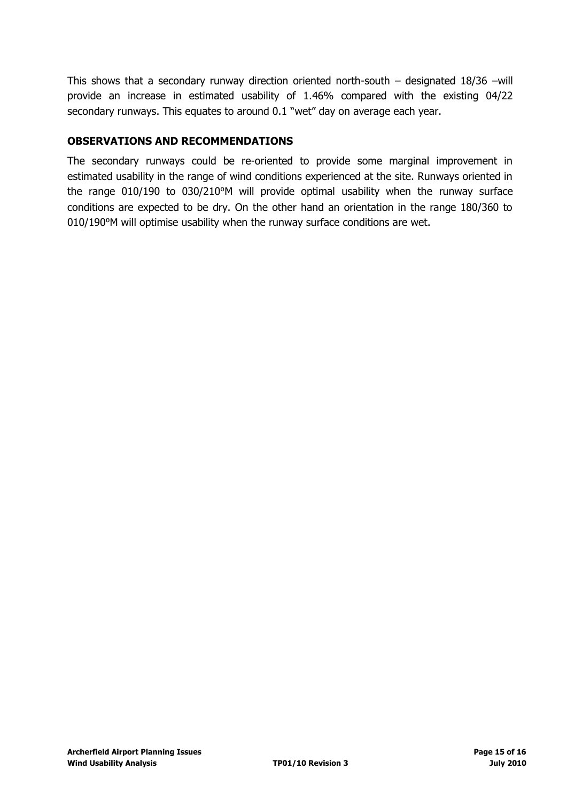This shows that a secondary runway direction oriented north-south – designated 18/36 –will provide an increase in estimated usability of 1.46% compared with the existing 04/22 secondary runways. This equates to around 0.1 "wet" day on average each year.

#### **OBSERVATIONS AND RECOMMENDATIONS**

The secondary runways could be re-oriented to provide some marginal improvement in estimated usability in the range of wind conditions experienced at the site. Runways oriented in the range  $010/190$  to  $030/210^{\circ}$ M will provide optimal usability when the runway surface conditions are expected to be dry. On the other hand an orientation in the range 180/360 to 010/190°M will optimise usability when the runway surface conditions are wet.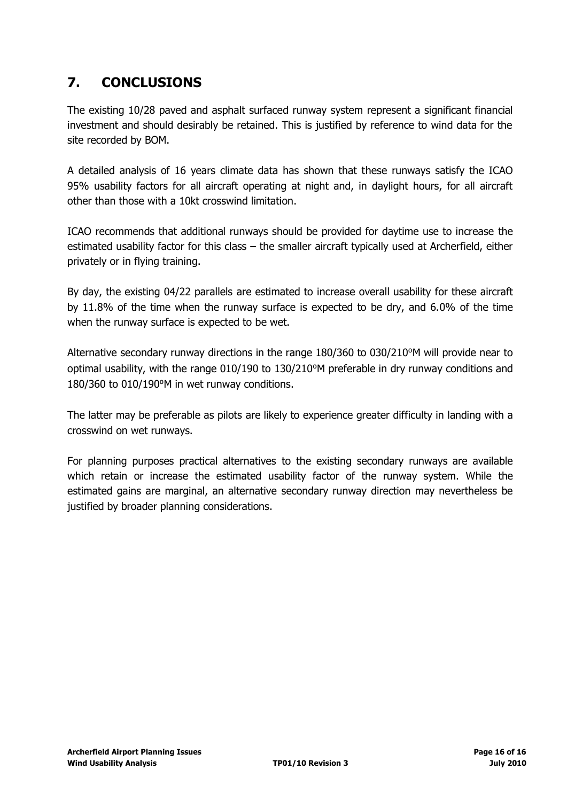# <span id="page-15-0"></span>**7. CONCLUSIONS**

The existing 10/28 paved and asphalt surfaced runway system represent a significant financial investment and should desirably be retained. This is justified by reference to wind data for the site recorded by BOM.

A detailed analysis of 16 years climate data has shown that these runways satisfy the ICAO 95% usability factors for all aircraft operating at night and, in daylight hours, for all aircraft other than those with a 10kt crosswind limitation.

ICAO recommends that additional runways should be provided for daytime use to increase the estimated usability factor for this class – the smaller aircraft typically used at Archerfield, either privately or in flying training.

By day, the existing 04/22 parallels are estimated to increase overall usability for these aircraft by 11.8% of the time when the runway surface is expected to be dry, and 6.0% of the time when the runway surface is expected to be wet.

Alternative secondary runway directions in the range 180/360 to 030/210<sup>o</sup>M will provide near to optimal usability, with the range 010/190 to 130/210<sup>o</sup>M preferable in dry runway conditions and  $180/360$  to  $010/190$ °M in wet runway conditions.

The latter may be preferable as pilots are likely to experience greater difficulty in landing with a crosswind on wet runways.

For planning purposes practical alternatives to the existing secondary runways are available which retain or increase the estimated usability factor of the runway system. While the estimated gains are marginal, an alternative secondary runway direction may nevertheless be justified by broader planning considerations.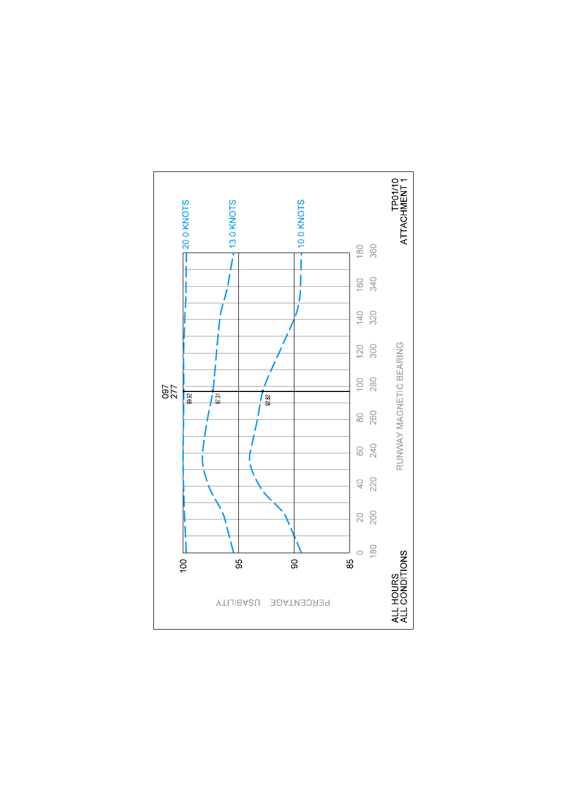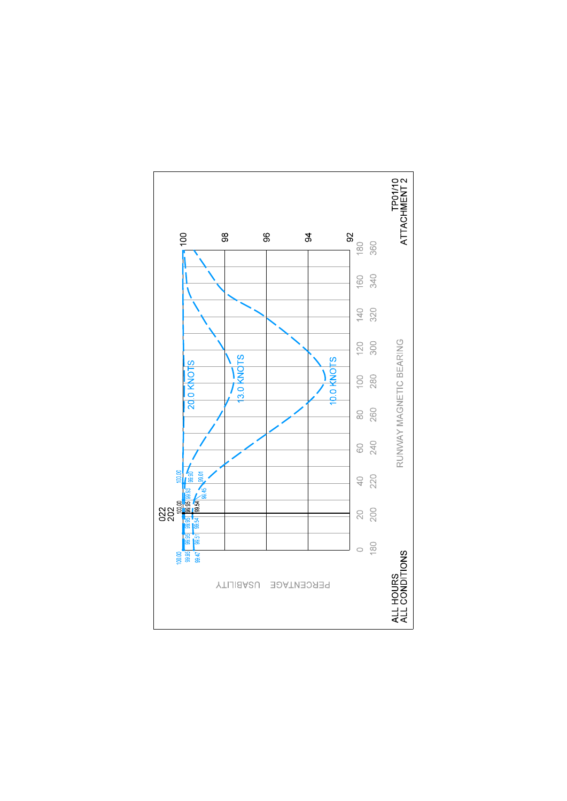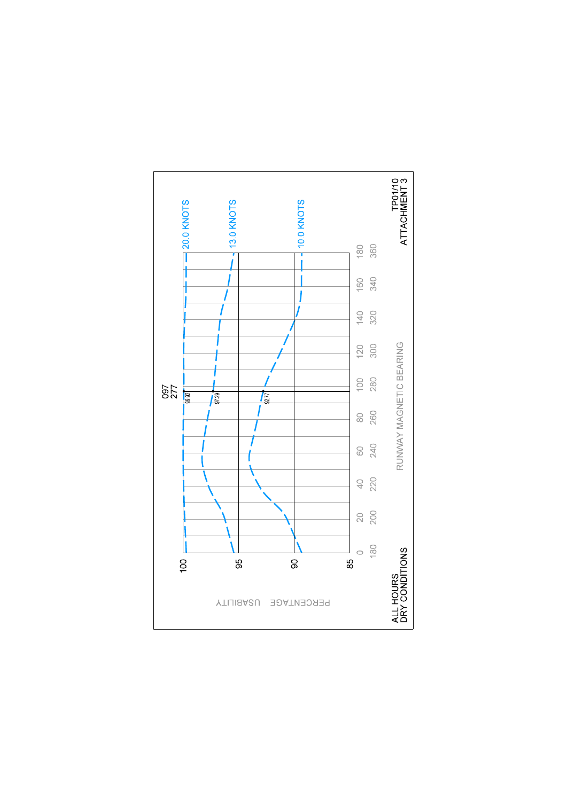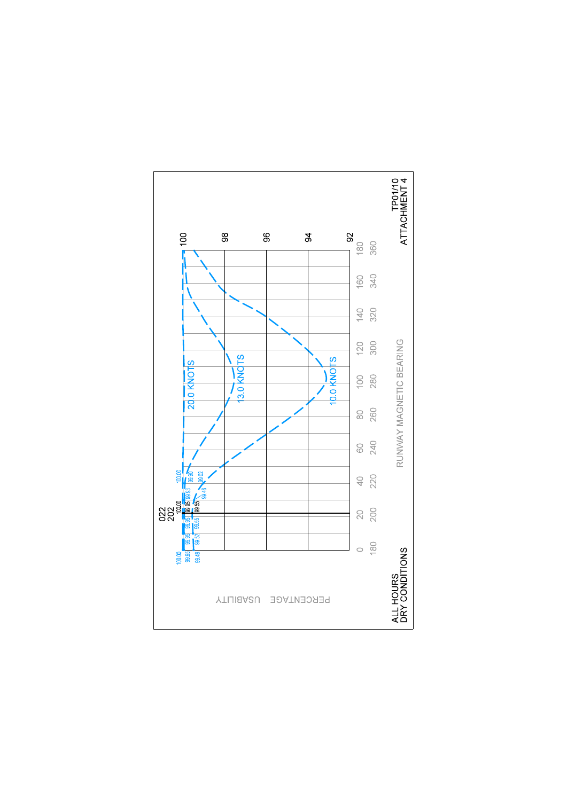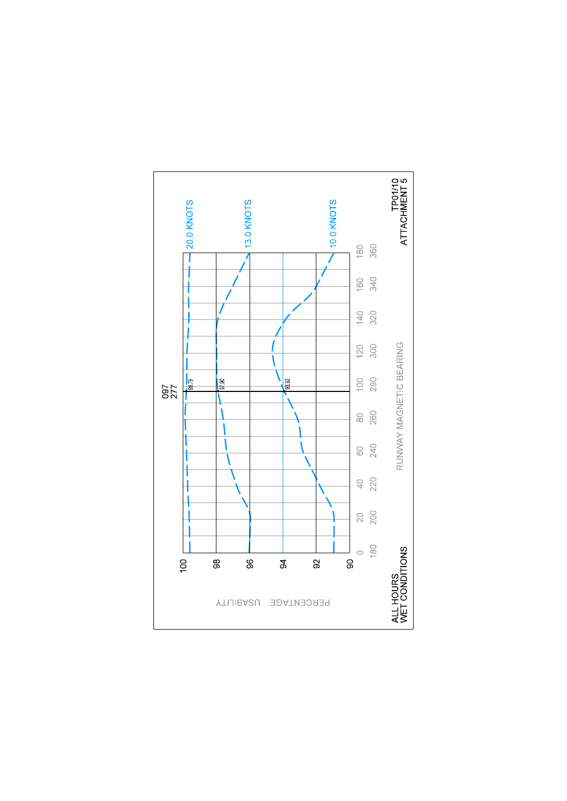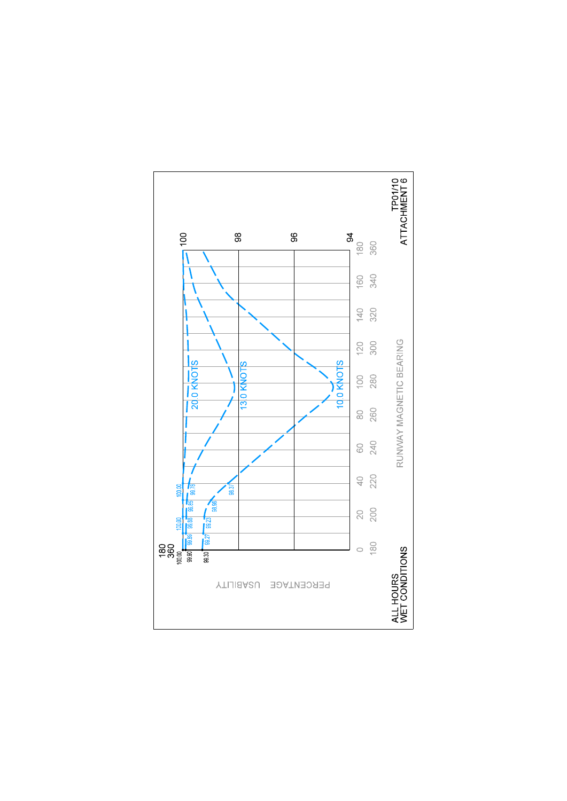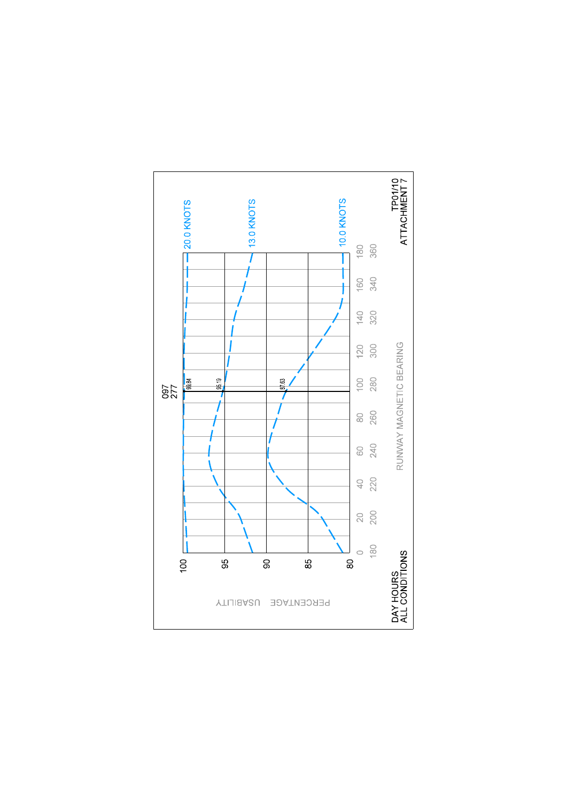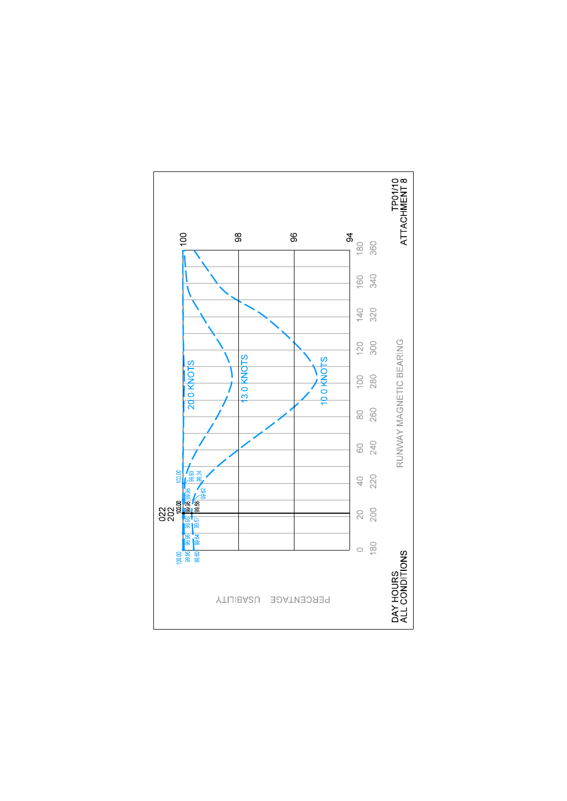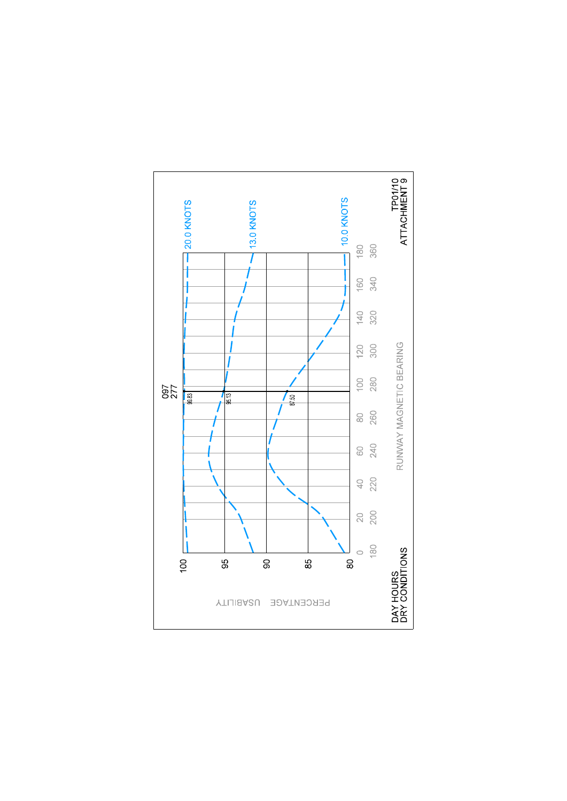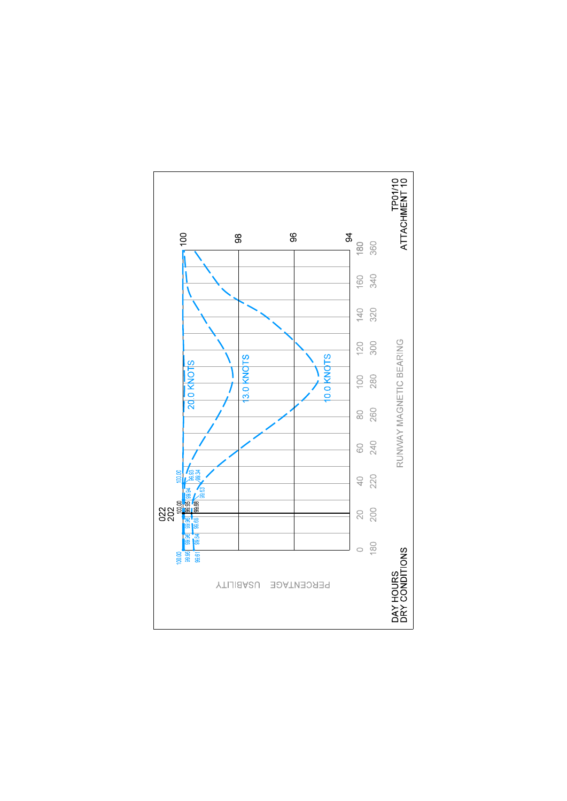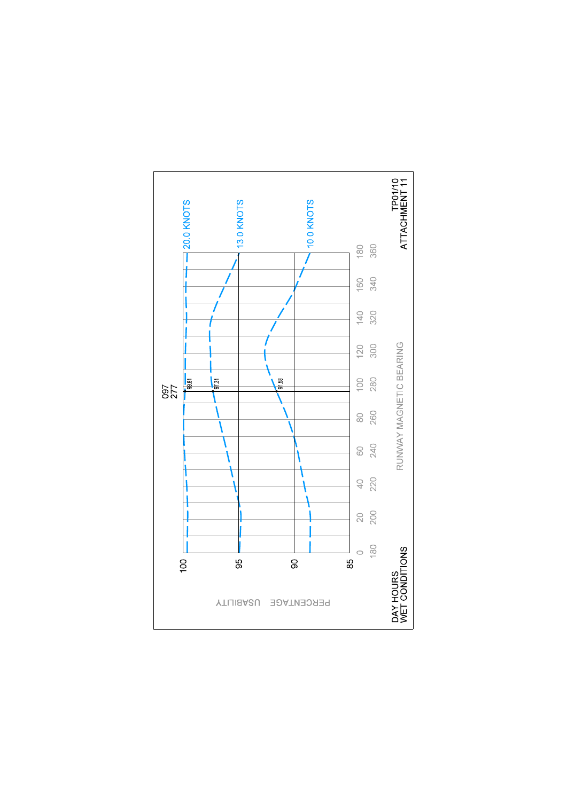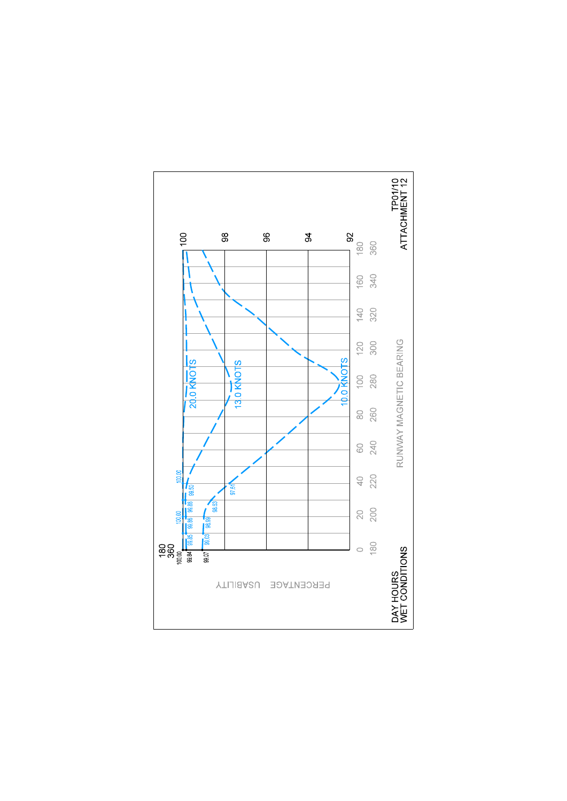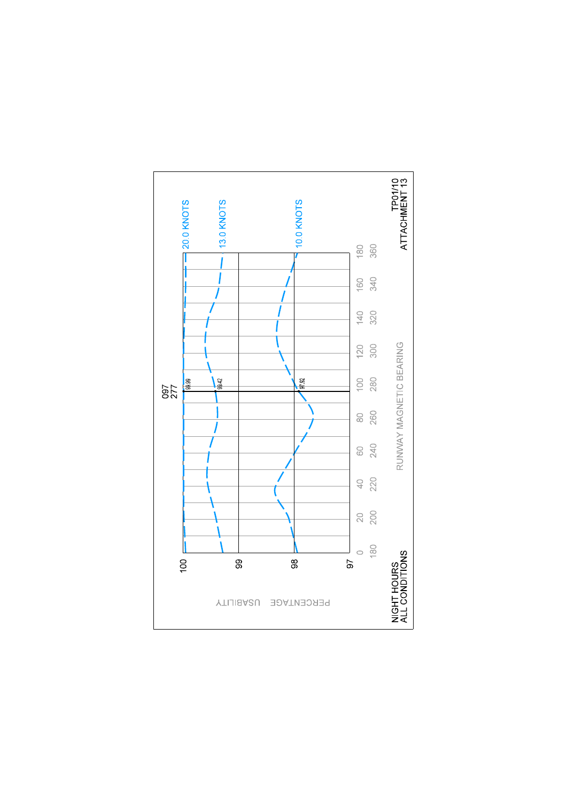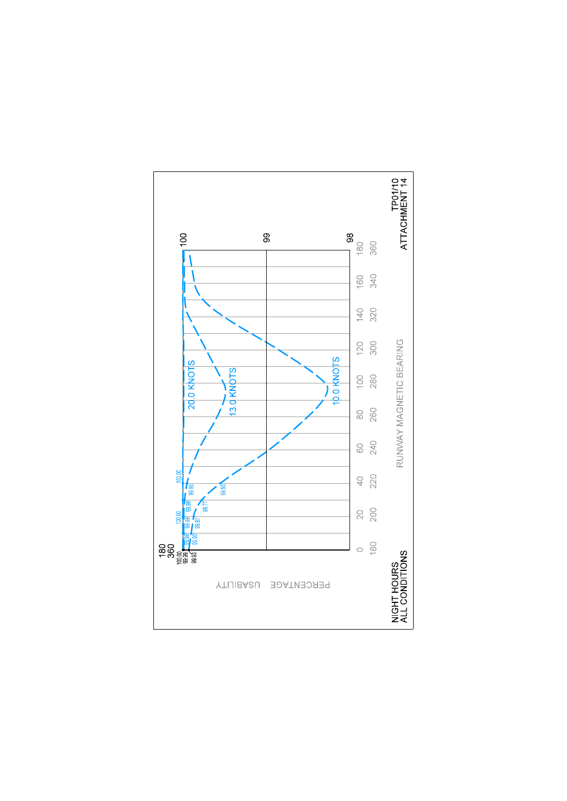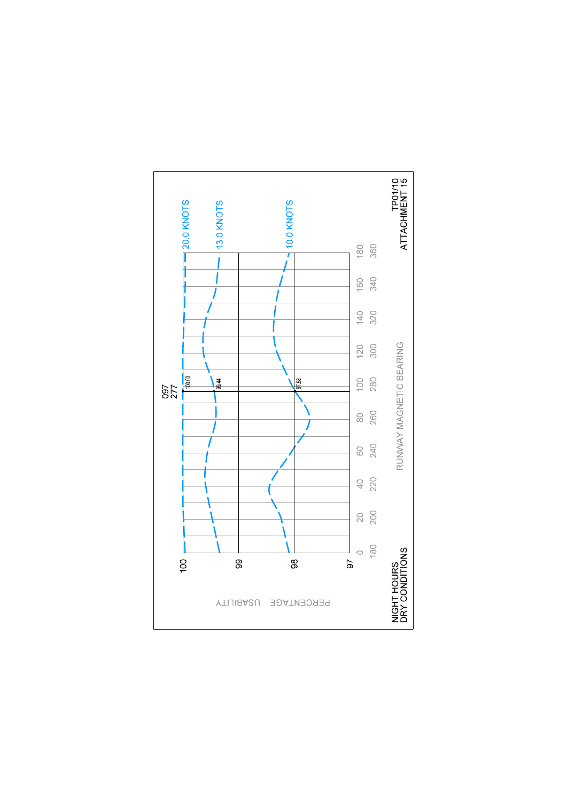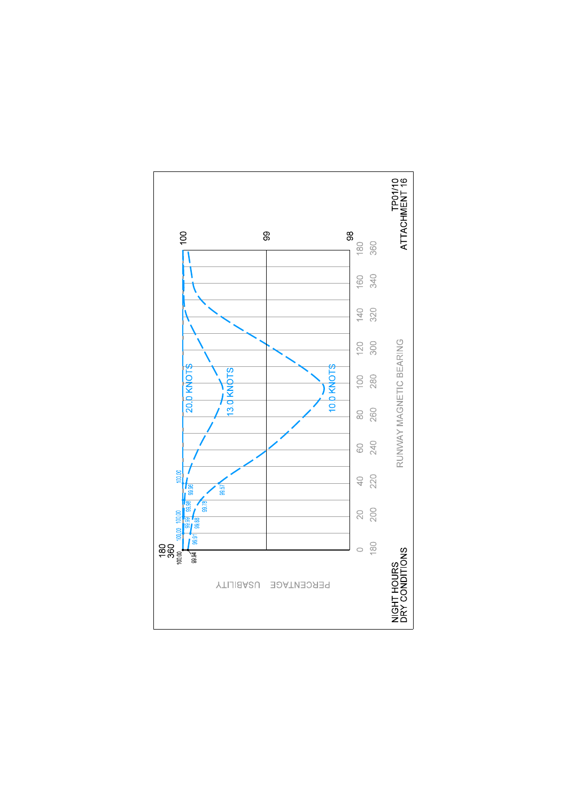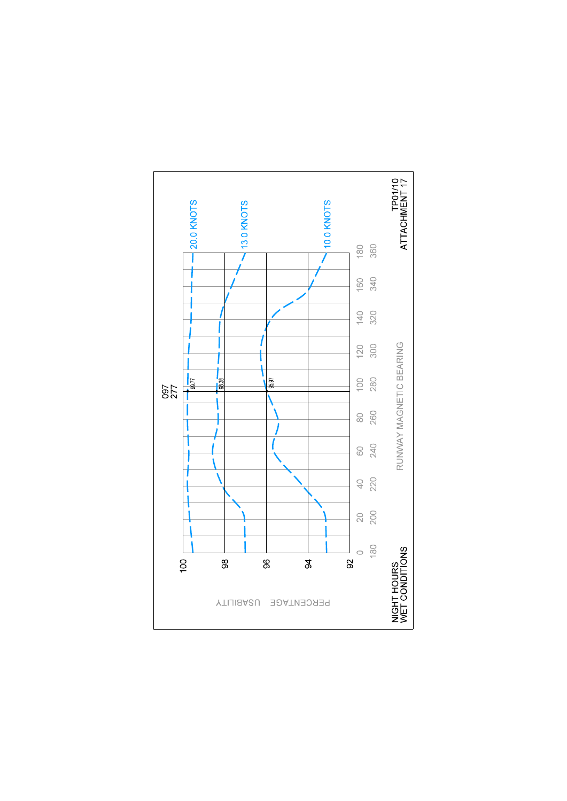